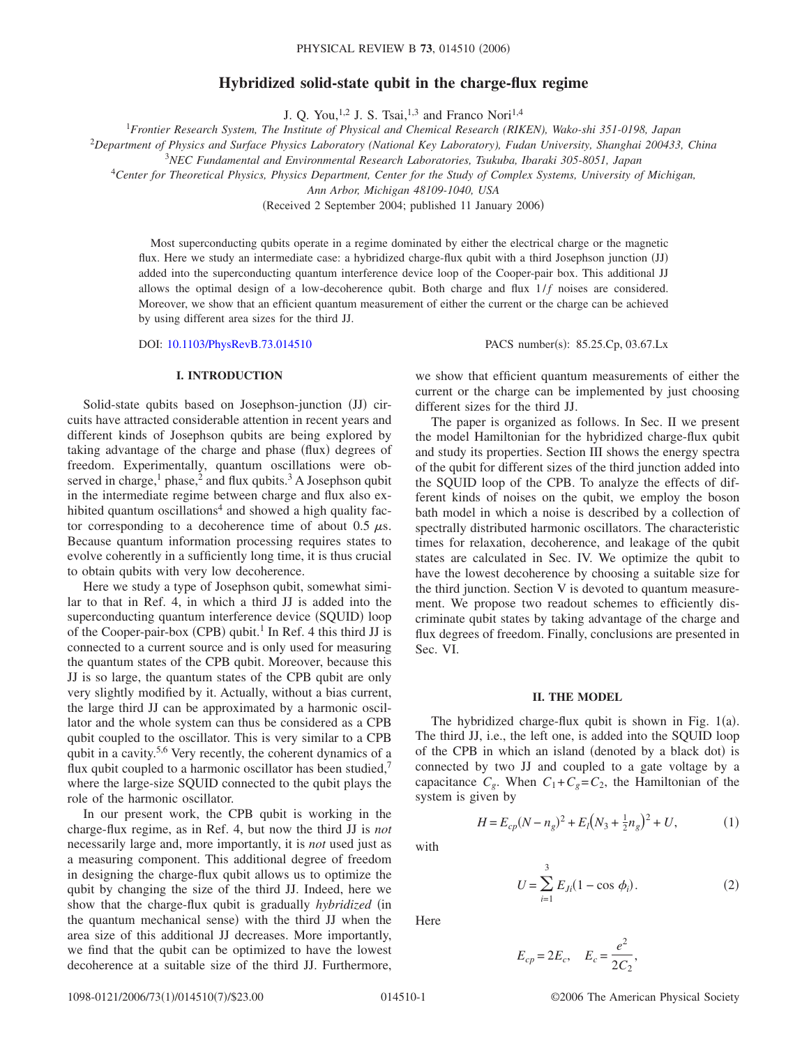# **Hybridized solid-state qubit in the charge-flux regime**

J. Q. You,<sup>1,2</sup> J. S. Tsai,<sup>1,3</sup> and Franco Nori<sup>1,4</sup>

1 *Frontier Research System, The Institute of Physical and Chemical Research (RIKEN), Wako-shi 351-0198, Japan*

<sup>2</sup>*Department of Physics and Surface Physics Laboratory (National Key Laboratory), Fudan University, Shanghai 200433, China*

3 *NEC Fundamental and Environmental Research Laboratories, Tsukuba, Ibaraki 305-8051, Japan*

<sup>4</sup>*Center for Theoretical Physics, Physics Department, Center for the Study of Complex Systems, University of Michigan,*

*Ann Arbor, Michigan 48109-1040, USA*

(Received 2 September 2004; published 11 January 2006)

Most superconducting qubits operate in a regime dominated by either the electrical charge or the magnetic flux. Here we study an intermediate case: a hybridized charge-flux qubit with a third Josephson junction (JJ) added into the superconducting quantum interference device loop of the Cooper-pair box. This additional JJ allows the optimal design of a low-decoherence qubit. Both charge and flux  $1/f$  noises are considered. Moreover, we show that an efficient quantum measurement of either the current or the charge can be achieved by using different area sizes for the third JJ.

DOI: [10.1103/PhysRevB.73.014510](http://dx.doi.org/10.1103/PhysRevB.73.014510)

# **I. INTRODUCTION**

Solid-state qubits based on Josephson-junction (JJ) circuits have attracted considerable attention in recent years and different kinds of Josephson qubits are being explored by taking advantage of the charge and phase (flux) degrees of freedom. Experimentally, quantum oscillations were observed in charge,<sup>1</sup> phase,<sup>2</sup> and flux qubits.<sup>3</sup> A Josephson qubit in the intermediate regime between charge and flux also exhibited quantum oscillations<sup>4</sup> and showed a high quality factor corresponding to a decoherence time of about 0.5  $\mu$ s. Because quantum information processing requires states to evolve coherently in a sufficiently long time, it is thus crucial to obtain qubits with very low decoherence.

Here we study a type of Josephson qubit, somewhat similar to that in Ref. 4, in which a third JJ is added into the superconducting quantum interference device (SQUID) loop of the Cooper-pair-box (CPB) qubit.<sup>1</sup> In Ref. 4 this third JJ is connected to a current source and is only used for measuring the quantum states of the CPB qubit. Moreover, because this JJ is so large, the quantum states of the CPB qubit are only very slightly modified by it. Actually, without a bias current, the large third JJ can be approximated by a harmonic oscillator and the whole system can thus be considered as a CPB qubit coupled to the oscillator. This is very similar to a CPB qubit in a cavity.<sup>5,6</sup> Very recently, the coherent dynamics of a flux qubit coupled to a harmonic oscillator has been studied, $7$ where the large-size SQUID connected to the qubit plays the role of the harmonic oscillator.

In our present work, the CPB qubit is working in the charge-flux regime, as in Ref. 4, but now the third JJ is *not* necessarily large and, more importantly, it is *not* used just as a measuring component. This additional degree of freedom in designing the charge-flux qubit allows us to optimize the qubit by changing the size of the third JJ. Indeed, here we show that the charge-flux qubit is gradually *hybridized* (in the quantum mechanical sense) with the third JJ when the area size of this additional JJ decreases. More importantly, we find that the qubit can be optimized to have the lowest decoherence at a suitable size of the third JJ. Furthermore,

PACS number(s): 85.25.Cp, 03.67.Lx

we show that efficient quantum measurements of either the current or the charge can be implemented by just choosing different sizes for the third JJ.

The paper is organized as follows. In Sec. II we present the model Hamiltonian for the hybridized charge-flux qubit and study its properties. Section III shows the energy spectra of the qubit for different sizes of the third junction added into the SQUID loop of the CPB. To analyze the effects of different kinds of noises on the qubit, we employ the boson bath model in which a noise is described by a collection of spectrally distributed harmonic oscillators. The characteristic times for relaxation, decoherence, and leakage of the qubit states are calculated in Sec. IV. We optimize the qubit to have the lowest decoherence by choosing a suitable size for the third junction. Section V is devoted to quantum measurement. We propose two readout schemes to efficiently discriminate qubit states by taking advantage of the charge and flux degrees of freedom. Finally, conclusions are presented in Sec. VI.

#### **II. THE MODEL**

The hybridized charge-flux qubit is shown in Fig.  $1(a)$ . The third JJ, i.e., the left one, is added into the SQUID loop of the CPB in which an island (denoted by a black dot) is connected by two JJ and coupled to a gate voltage by a capacitance  $C_g$ . When  $C_1 + C_g = C_2$ , the Hamiltonian of the system is given by

with

$$
U = \sum_{i=1}^{3} E_{Ji} (1 - \cos \phi_i).
$$
 (2)

 $(1)$ 

 $H = E_{cp}(N - n_g)^2 + E_l(N_3 + \frac{1}{2}n_g)^2 + U,$  (1)

Here

$$
E_{cp} = 2E_c
$$
,  $E_c = \frac{e^2}{2C_2}$ ,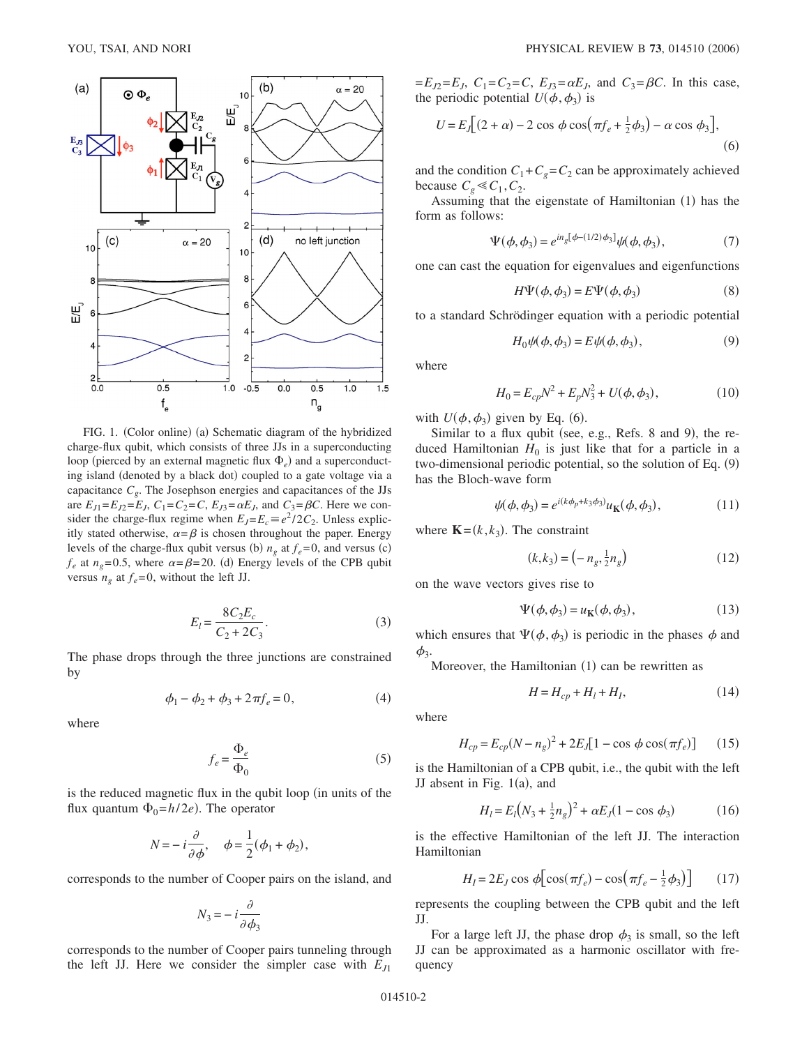

FIG. 1. (Color online) (a) Schematic diagram of the hybridized charge-flux qubit, which consists of three JJs in a superconducting loop (pierced by an external magnetic flux  $\Phi_e$ ) and a superconducting island (denoted by a black dot) coupled to a gate voltage via a capacitance *Cg*. The Josephson energies and capacitances of the JJs are  $E_{J1} = E_{J2} = E_J$ ,  $C_1 = C_2 = C$ ,  $E_{J3} = \alpha E_J$ , and  $C_3 = \beta C$ . Here we consider the charge-flux regime when  $E_J = E_c \equiv e^2 / 2C_2$ . Unless explicitly stated otherwise,  $\alpha = \beta$  is chosen throughout the paper. Energy levels of the charge-flux qubit versus (b)  $n_g$  at  $f_e$ =0, and versus (c)  $f_e$  at  $n_g$ =0.5, where  $\alpha = \beta = 20$ . (d) Energy levels of the CPB qubit versus  $n_g$  at  $f_e = 0$ , without the left JJ.

$$
E_l = \frac{8C_2E_c}{C_2 + 2C_3}.
$$
 (3)

The phase drops through the three junctions are constrained by

$$
\phi_1 - \phi_2 + \phi_3 + 2\pi f_e = 0,\tag{4}
$$

where

$$
f_e = \frac{\Phi_e}{\Phi_0} \tag{5}
$$

is the reduced magnetic flux in the qubit loop (in units of the flux quantum  $\Phi_0 = h/2e$ ). The operator

$$
N = -i\frac{\partial}{\partial \phi}, \quad \phi = \frac{1}{2}(\phi_1 + \phi_2),
$$

corresponds to the number of Cooper pairs on the island, and

$$
N_3 = -i \frac{\partial}{\partial \phi_3}
$$

corresponds to the number of Cooper pairs tunneling through the left JJ. Here we consider the simpler case with  $E_{J1}$ 

 $=E_{J2}=E_J$ ,  $C_1=C_2=C$ ,  $E_{J3}=\alpha E_J$ , and  $C_3=\beta C$ . In this case, the periodic potential  $U(\phi, \phi_3)$  is

$$
U = E_J[(2+\alpha) - 2\cos\phi\cos(\pi f_e + \frac{1}{2}\phi_3) - \alpha\cos\phi_3],
$$
\n(6)

and the condition  $C_1 + C_g = C_2$  can be approximately achieved because  $C_g \ll C_1, C_2$ .

Assuming that the eigenstate of Hamiltonian (1) has the form as follows:

$$
\Psi(\phi, \phi_3) = e^{i n_g [\phi - (1/2)\phi_3]} \psi(\phi, \phi_3),\tag{7}
$$

one can cast the equation for eigenvalues and eigenfunctions

$$
H\Psi(\phi, \phi_3) = E\Psi(\phi, \phi_3)
$$
 (8)

to a standard Schrödinger equation with a periodic potential

$$
H_0\psi(\phi,\phi_3) = E\psi(\phi,\phi_3),\tag{9}
$$

where

$$
H_0 = E_{cp}N^2 + E_pN_3^2 + U(\phi, \phi_3),
$$
 (10)

with  $U(\phi, \phi_3)$  given by Eq. (6).

Similar to a flux qubit (see, e.g., Refs. 8 and 9), the reduced Hamiltonian  $H_0$  is just like that for a particle in a two-dimensional periodic potential, so the solution of Eq. (9) has the Bloch-wave form

$$
\psi(\phi, \phi_3) = e^{i(k\phi_p + k_3\phi_3)} u_{\mathbf{K}}(\phi, \phi_3),\tag{11}
$$

where  $\mathbf{K} = (k, k_3)$ . The constraint

$$
(k, k_3) = \left(-n_g, \frac{1}{2}n_g\right) \tag{12}
$$

on the wave vectors gives rise to

$$
\Psi(\phi, \phi_3) = u_K(\phi, \phi_3),\tag{13}
$$

which ensures that  $\Psi(\phi, \phi_3)$  is periodic in the phases  $\phi$  and  $\phi_3$ .

Moreover, the Hamiltonian (1) can be rewritten as

$$
H = H_{cp} + H_l + H_l,\tag{14}
$$

where

$$
H_{cp} = E_{cp}(N - n_g)^2 + 2E_J[1 - \cos\phi\cos(\pi f_e)]
$$
 (15)

is the Hamiltonian of a CPB qubit, i.e., the qubit with the left JJ absent in Fig.  $1(a)$ , and

$$
H_l = E_l \left( N_3 + \frac{1}{2} n_g \right)^2 + \alpha E_J (1 - \cos \phi_3)
$$
 (16)

is the effective Hamiltonian of the left JJ. The interaction Hamiltonian

$$
H_{I} = 2E_{J}\cos\phi\left[\cos(\pi f_{e}) - \cos(\pi f_{e} - \frac{1}{2}\phi_{3})\right]
$$
 (17)

represents the coupling between the CPB qubit and the left JJ.

For a large left JJ, the phase drop  $\phi_3$  is small, so the left JJ can be approximated as a harmonic oscillator with frequency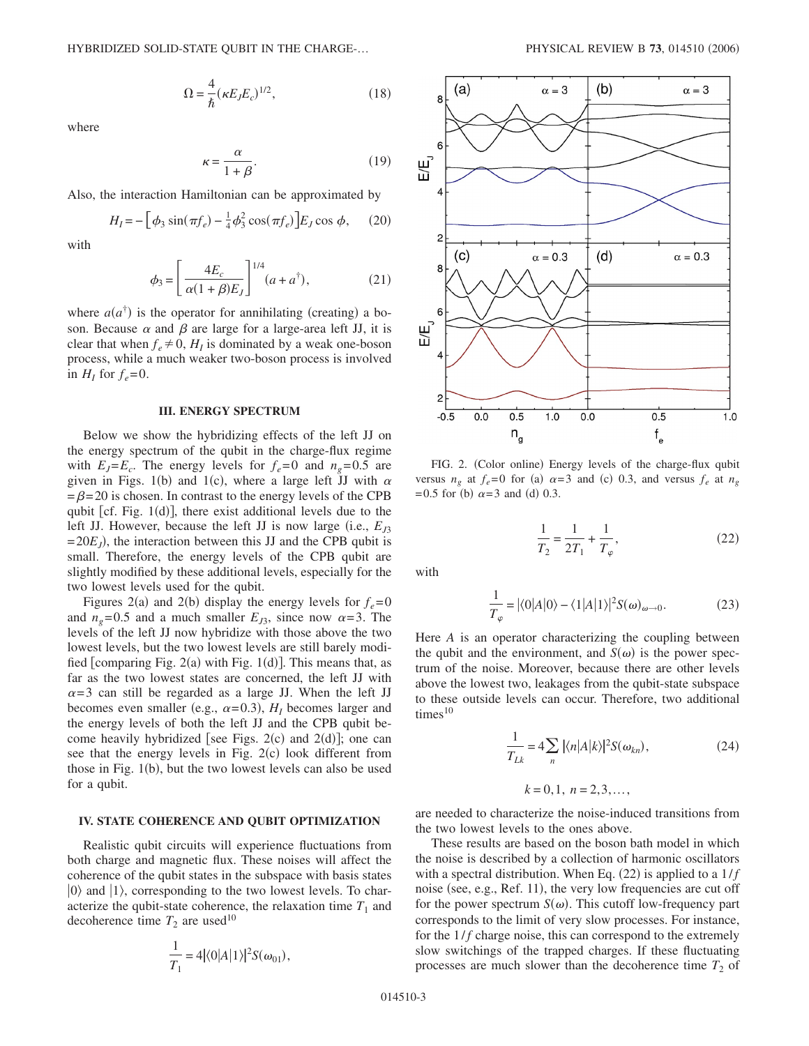$$
\Omega = \frac{4}{\hbar} (\kappa E_j E_c)^{1/2},\tag{18}
$$

where

$$
\kappa = \frac{\alpha}{1 + \beta}.\tag{19}
$$

Also, the interaction Hamiltonian can be approximated by

$$
H_I = -\left[\phi_3 \sin(\pi f_e) - \frac{1}{4} \phi_3^2 \cos(\pi f_e)\right] E_J \cos \phi, \quad (20)
$$

with

$$
\phi_3 = \left[\frac{4E_c}{\alpha(1+\beta)E_J}\right]^{1/4} (a+a^{\dagger}),\tag{21}
$$

where  $a(a^{\dagger})$  is the operator for annihilating (creating) a boson. Because  $\alpha$  and  $\beta$  are large for a large-area left JJ, it is clear that when  $f_e \neq 0$ ,  $H_I$  is dominated by a weak one-boson process, while a much weaker two-boson process is involved in  $H_I$  for  $f_e = 0$ .

#### **III. ENERGY SPECTRUM**

Below we show the hybridizing effects of the left JJ on the energy spectrum of the qubit in the charge-flux regime with  $E_I = E_c$ . The energy levels for  $f_e = 0$  and  $n_e = 0.5$  are given in Figs. 1(b) and 1(c), where a large left  $\overline{J}J$  with  $\alpha$  $=\beta$ = 20 is chosen. In contrast to the energy levels of the CPB qubit [cf. Fig.  $1(d)$ ], there exist additional levels due to the left JJ. However, because the left JJ is now large (i.e.,  $E<sub>13</sub>$ )  $= 20E_J$ ), the interaction between this JJ and the CPB qubit is small. Therefore, the energy levels of the CPB qubit are slightly modified by these additional levels, especially for the two lowest levels used for the qubit.

Figures 2(a) and 2(b) display the energy levels for  $f_e = 0$ and  $n_g$ =0.5 and a much smaller  $E_{J3}$ , since now  $\alpha$ =3. The levels of the left JJ now hybridize with those above the two lowest levels, but the two lowest levels are still barely modified [comparing Fig.  $2(a)$  with Fig.  $1(d)$ ]. This means that, as far as the two lowest states are concerned, the left JJ with  $\alpha = 3$  can still be regarded as a large JJ. When the left JJ becomes even smaller (e.g.,  $\alpha = 0.3$ ),  $H<sub>I</sub>$  becomes larger and the energy levels of both the left JJ and the CPB qubit become heavily hybridized [see Figs.  $2(c)$  and  $2(d)$ ]; one can see that the energy levels in Fig. 2(c) look different from those in Fig. 1(b), but the two lowest levels can also be used for a qubit.

# **IV. STATE COHERENCE AND QUBIT OPTIMIZATION**

Realistic qubit circuits will experience fluctuations from both charge and magnetic flux. These noises will affect the coherence of the qubit states in the subspace with basis states  $|0\rangle$  and  $|1\rangle$ , corresponding to the two lowest levels. To characterize the qubit-state coherence, the relaxation time  $T_1$  and decoherence time  $T_2$  are used<sup>10</sup>

$$
\frac{1}{T_1} = 4|\langle 0|A|1\rangle|^2 S(\omega_{01}),
$$



FIG. 2. (Color online) Energy levels of the charge-flux qubit versus  $n_g$  at  $f_e = 0$  for (a)  $\alpha = 3$  and (c) 0.3, and versus  $f_e$  at  $n_g$  $= 0.5$  for (b)  $\alpha = 3$  and (d) 0.3.

$$
\frac{1}{T_2} = \frac{1}{2T_1} + \frac{1}{T_\varphi},\tag{22}
$$

with

$$
\frac{1}{T_{\varphi}} = |\langle 0|A|0\rangle - \langle 1|A|1\rangle|^2 S(\omega)_{\omega \to 0}.
$$
 (23)

Here *A* is an operator characterizing the coupling between the qubit and the environment, and  $S(\omega)$  is the power spectrum of the noise. Moreover, because there are other levels above the lowest two, leakages from the qubit-state subspace to these outside levels can occur. Therefore, two additional  $times<sup>10</sup>$ 

$$
\frac{1}{T_{Lk}} = 4 \sum_{n} |\langle n|A|k\rangle|^2 S(\omega_{kn}),\tag{24}
$$

 $k = 0, 1, n = 2, 3, \ldots$ 

are needed to characterize the noise-induced transitions from the two lowest levels to the ones above.

These results are based on the boson bath model in which the noise is described by a collection of harmonic oscillators with a spectral distribution. When Eq. (22) is applied to a  $1/f$ noise (see, e.g., Ref. 11), the very low frequencies are cut off for the power spectrum  $S(\omega)$ . This cutoff low-frequency part corresponds to the limit of very slow processes. For instance, for the  $1/f$  charge noise, this can correspond to the extremely slow switchings of the trapped charges. If these fluctuating processes are much slower than the decoherence time  $T_2$  of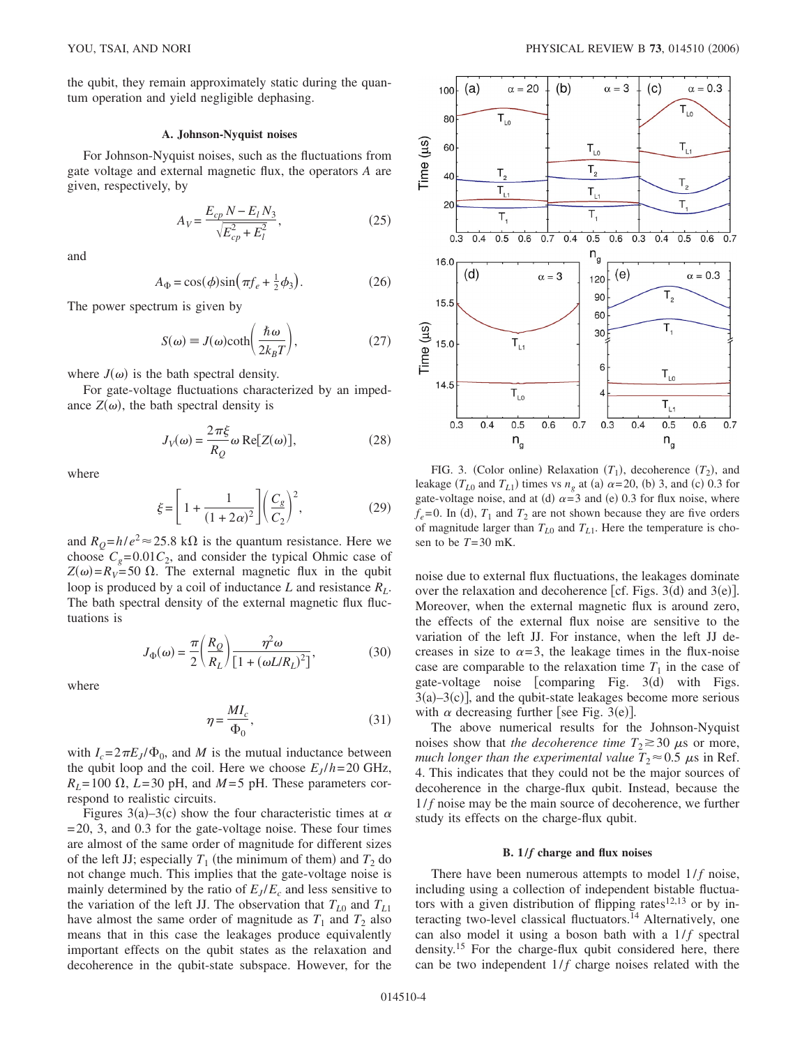the qubit, they remain approximately static during the quantum operation and yield negligible dephasing.

# **A. Johnson-Nyquist noises**

For Johnson-Nyquist noises, such as the fluctuations from gate voltage and external magnetic flux, the operators *A* are given, respectively, by

$$
A_V = \frac{E_{cp} N - E_l N_3}{\sqrt{E_{cp}^2 + E_l^2}},\tag{25}
$$

and

$$
A_{\Phi} = \cos(\phi)\sin(\pi f_e + \frac{1}{2}\phi_3). \tag{26}
$$

The power spectrum is given by

$$
S(\omega) \equiv J(\omega) \coth\left(\frac{\hbar \omega}{2k_B T}\right),\tag{27}
$$

where  $J(\omega)$  is the bath spectral density.

For gate-voltage fluctuations characterized by an impedance  $Z(\omega)$ , the bath spectral density is

$$
J_V(\omega) = \frac{2\pi\xi}{R_Q}\omega \text{ Re}[Z(\omega)],\qquad (28)
$$

where

$$
\xi = \left[1 + \frac{1}{(1+2\alpha)^2}\right] \left(\frac{C_g}{C_2}\right)^2,\tag{29}
$$

and  $R_Q = h/e^2 \approx 25.8 \text{ k}\Omega$  is the quantum resistance. Here we choose  $C_g$ =0.01 $C_2$ , and consider the typical Ohmic case of  $Z(\omega) = R_V = 50 \Omega$ . The external magnetic flux in the qubit loop is produced by a coil of inductance *L* and resistance *RL*. The bath spectral density of the external magnetic flux fluctuations is

$$
J_{\Phi}(\omega) = \frac{\pi}{2} \left( \frac{R_Q}{R_L} \right) \frac{\eta^2 \omega}{\left[ 1 + (\omega L/R_L)^2 \right]},
$$
(30)

where

$$
\eta = \frac{MI_c}{\Phi_0},\tag{31}
$$

with  $I_c = 2\pi E_J/\Phi_0$ , and *M* is the mutual inductance between the qubit loop and the coil. Here we choose  $E_J/h = 20$  GHz,  $R_L$ = 100  $\Omega$ , *L*=30 pH, and *M* = 5 pH. These parameters correspond to realistic circuits.

Figures 3(a)–3(c) show the four characteristic times at  $\alpha$ = 20, 3, and 0.3 for the gate-voltage noise. These four times are almost of the same order of magnitude for different sizes of the left JJ; especially  $T_1$  (the minimum of them) and  $T_2$  do not change much. This implies that the gate-voltage noise is mainly determined by the ratio of  $E_I/E_c$  and less sensitive to the variation of the left JJ. The observation that  $T_{L0}$  and  $T_{L1}$ have almost the same order of magnitude as  $T_1$  and  $T_2$  also means that in this case the leakages produce equivalently important effects on the qubit states as the relaxation and decoherence in the qubit-state subspace. However, for the



FIG. 3. (Color online) Relaxation  $(T_1)$ , decoherence  $(T_2)$ , and leakage ( $T_{L0}$  and  $T_{L1}$ ) times vs  $n_g$  at (a)  $\alpha$ =20, (b) 3, and (c) 0.3 for gate-voltage noise, and at (d)  $\alpha = 3$  and (e) 0.3 for flux noise, where  $f_e$ =0. In (d),  $T_1$  and  $T_2$  are not shown because they are five orders of magnitude larger than  $T_{L0}$  and  $T_{L1}$ . Here the temperature is chosen to be  $T=30$  mK.

noise due to external flux fluctuations, the leakages dominate over the relaxation and decoherence [cf. Figs.  $3(d)$  and  $3(e)$ ]. Moreover, when the external magnetic flux is around zero, the effects of the external flux noise are sensitive to the variation of the left JJ. For instance, when the left JJ decreases in size to  $\alpha = 3$ , the leakage times in the flux-noise case are comparable to the relaxation time  $T_1$  in the case of gate-voltage noise [comparing Fig.  $3(d)$  with Figs.  $3(a) - 3(c)$ , and the qubit-state leakages become more serious with  $\alpha$  decreasing further [see Fig. 3(e)].

The above numerical results for the Johnson-Nyquist noises show that *the decoherence time*  $T_2 \ge 30 \mu s$  or more, *much longer than the experimental value*  $T_2 \approx 0.5 \mu s$  in Ref. 4. This indicates that they could not be the major sources of decoherence in the charge-flux qubit. Instead, because the 1/*f* noise may be the main source of decoherence, we further study its effects on the charge-flux qubit.

#### **B. 1/***f* **charge and flux noises**

There have been numerous attempts to model 1/*f* noise, including using a collection of independent bistable fluctuators with a given distribution of flipping rates<sup>12,13</sup> or by interacting two-level classical fluctuators.<sup>14</sup> Alternatively, one can also model it using a boson bath with a  $1/f$  spectral density.15 For the charge-flux qubit considered here, there can be two independent  $1/f$  charge noises related with the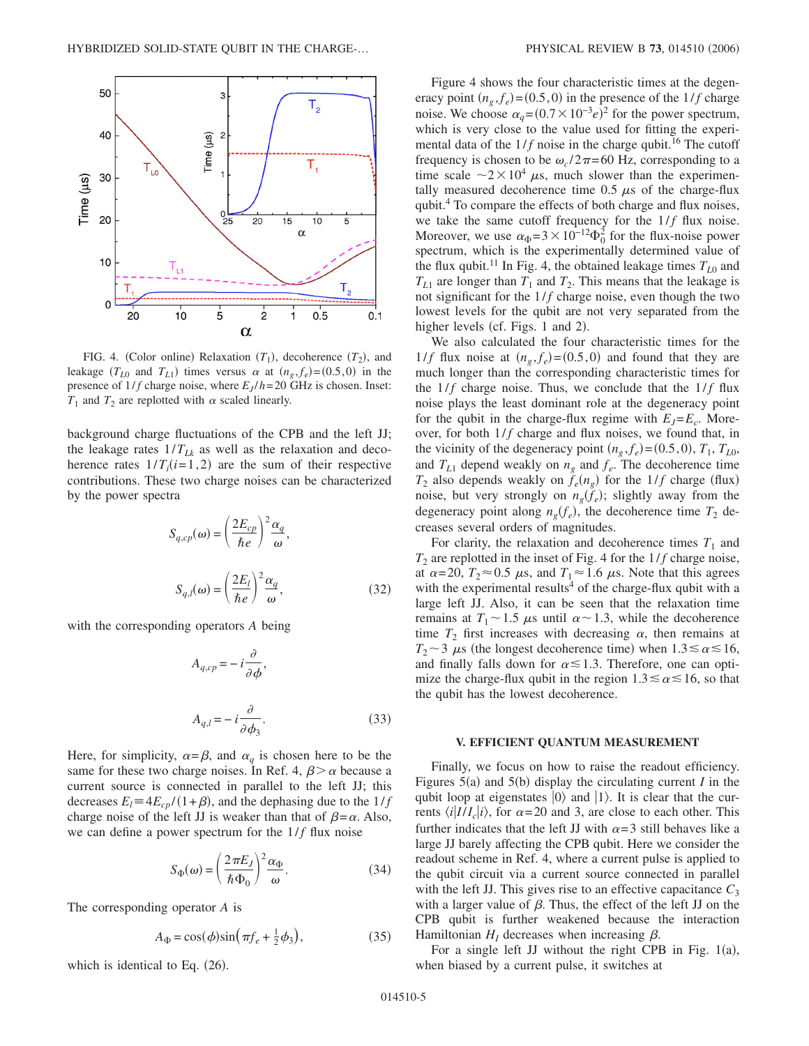

FIG. 4. (Color online) Relaxation  $(T_1)$ , decoherence  $(T_2)$ , and leakage  $(T_{L0}$  and  $T_{L1}$ ) times versus  $\alpha$  at  $(n_g, f_e) = (0.5, 0)$  in the presence of  $1/f$  charge noise, where  $E_J/h = 20$  GHz is chosen. Inset:  $T_1$  and  $T_2$  are replotted with  $\alpha$  scaled linearly.

background charge fluctuations of the CPB and the left JJ; the leakage rates  $1/T_{Lk}$  as well as the relaxation and decoherence rates  $1/T_i(i=1,2)$  are the sum of their respective contributions. These two charge noises can be characterized by the power spectra

$$
S_{q,cp}(\omega) = \left(\frac{2E_{cp}}{\hbar e}\right)^2 \frac{\alpha_q}{\omega},
$$
  

$$
S_{q,l}(\omega) = \left(\frac{2E_l}{\hbar e}\right)^2 \frac{\alpha_q}{\omega},
$$
 (32)

with the corresponding operators *A* being

$$
A_{q,cp} = -i \frac{\partial}{\partial \phi},
$$
  

$$
A_{q,l} = -i \frac{\partial}{\partial \phi_3}.
$$
 (33)

Here, for simplicity,  $\alpha = \beta$ , and  $\alpha_a$  is chosen here to be the same for these two charge noises. In Ref. 4,  $\beta > \alpha$  because a current source is connected in parallel to the left JJ; this decreases  $E_l = 4E_{cp}/(1+\beta)$ , and the dephasing due to the  $1/f$ charge noise of the left JJ is weaker than that of  $\beta = \alpha$ . Also, we can define a power spectrum for the  $1/f$  flux noise

$$
S_{\Phi}(\omega) = \left(\frac{2\pi E_J}{\hbar \Phi_0}\right)^2 \frac{\alpha_{\Phi}}{\omega}.
$$
 (34)

The corresponding operator *A* is

$$
A_{\Phi} = \cos(\phi)\sin\left(\pi f_e + \frac{1}{2}\phi_3\right),\tag{35}
$$

which is identical to Eq.  $(26)$ .

Figure 4 shows the four characteristic times at the degeneracy point  $(n_g, f_e) = (0.5, 0)$  in the presence of the 1/*f* charge noise. We choose  $\alpha_q = (0.7 \times 10^{-3} e)^2$  for the power spectrum, which is very close to the value used for fitting the experimental data of the  $1/f$  noise in the charge qubit.<sup>16</sup> The cutoff frequency is chosen to be  $\omega_c/2\pi$ =60 Hz, corresponding to a time scale  $\sim 2 \times 10^4$   $\mu$ s, much slower than the experimentally measured decoherence time  $0.5 \mu s$  of the charge-flux qubit.4 To compare the effects of both charge and flux noises, we take the same cutoff frequency for the  $1/f$  flux noise. Moreover, we use  $\alpha_{\Phi} = 3 \times 10^{-12} \Phi_0^2$  for the flux-noise power spectrum, which is the experimentally determined value of the flux qubit.<sup>11</sup> In Fig. 4, the obtained leakage times  $T_{L0}$  and  $T_{L1}$  are longer than  $T_1$  and  $T_2$ . This means that the leakage is not significant for the  $1/f$  charge noise, even though the two lowest levels for the qubit are not very separated from the higher levels (cf. Figs. 1 and 2).

We also calculated the four characteristic times for the 1/*f* flux noise at  $(n_g, f_e) = (0.5, 0)$  and found that they are much longer than the corresponding characteristic times for the  $1/f$  charge noise. Thus, we conclude that the  $1/f$  flux noise plays the least dominant role at the degeneracy point for the qubit in the charge-flux regime with  $E_J = E_c$ . Moreover, for both  $1/f$  charge and flux noises, we found that, in the vicinity of the degeneracy point  $(n_g, f_e) = (0.5, 0), T_1, T_{L0}$ , and  $T_{L1}$  depend weakly on  $n_e$  and  $f_e$ . The decoherence time  $T_2$  also depends weakly on  $f_e(n_g)$  for the 1/*f* charge (flux) noise, but very strongly on  $n_g(f_e)$ ; slightly away from the degeneracy point along  $n_g(f_e)$ , the decoherence time  $T_2$  decreases several orders of magnitudes.

For clarity, the relaxation and decoherence times  $T_1$  and  $T_2$  are replotted in the inset of Fig. 4 for the  $1/f$  charge noise, at  $\alpha = 20$ ,  $T_2 \approx 0.5$   $\mu$ s, and  $T_1 \approx 1.6$   $\mu$ s. Note that this agrees with the experimental results<sup>4</sup> of the charge-flux qubit with a large left JJ. Also, it can be seen that the relaxation time remains at  $T_1 \sim 1.5$   $\mu$ s until  $\alpha \sim 1.3$ , while the decoherence time  $T_2$  first increases with decreasing  $\alpha$ , then remains at  $T_2 \sim 3 \mu s$  (the longest decoherence time) when  $1.3 \le \alpha \le 16$ , and finally falls down for  $\alpha \leq 1.3$ . Therefore, one can optimize the charge-flux qubit in the region  $1.3 \le \alpha \le 16$ , so that the qubit has the lowest decoherence.

# **V. EFFICIENT QUANTUM MEASUREMENT**

Finally, we focus on how to raise the readout efficiency. Figures  $5(a)$  and  $5(b)$  display the circulating current *I* in the qubit loop at eigenstates  $|0\rangle$  and  $|1\rangle$ . It is clear that the currents  $\langle i|III_c|i\rangle$ , for  $\alpha=20$  and 3, are close to each other. This further indicates that the left JJ with  $\alpha = 3$  still behaves like a large JJ barely affecting the CPB qubit. Here we consider the readout scheme in Ref. 4, where a current pulse is applied to the qubit circuit via a current source connected in parallel with the left JJ. This gives rise to an effective capacitance  $C_3$ with a larger value of  $\beta$ . Thus, the effect of the left JJ on the CPB qubit is further weakened because the interaction Hamiltonian  $H<sub>I</sub>$  decreases when increasing  $\beta$ .

For a single left JJ without the right CPB in Fig.  $1(a)$ , when biased by a current pulse, it switches at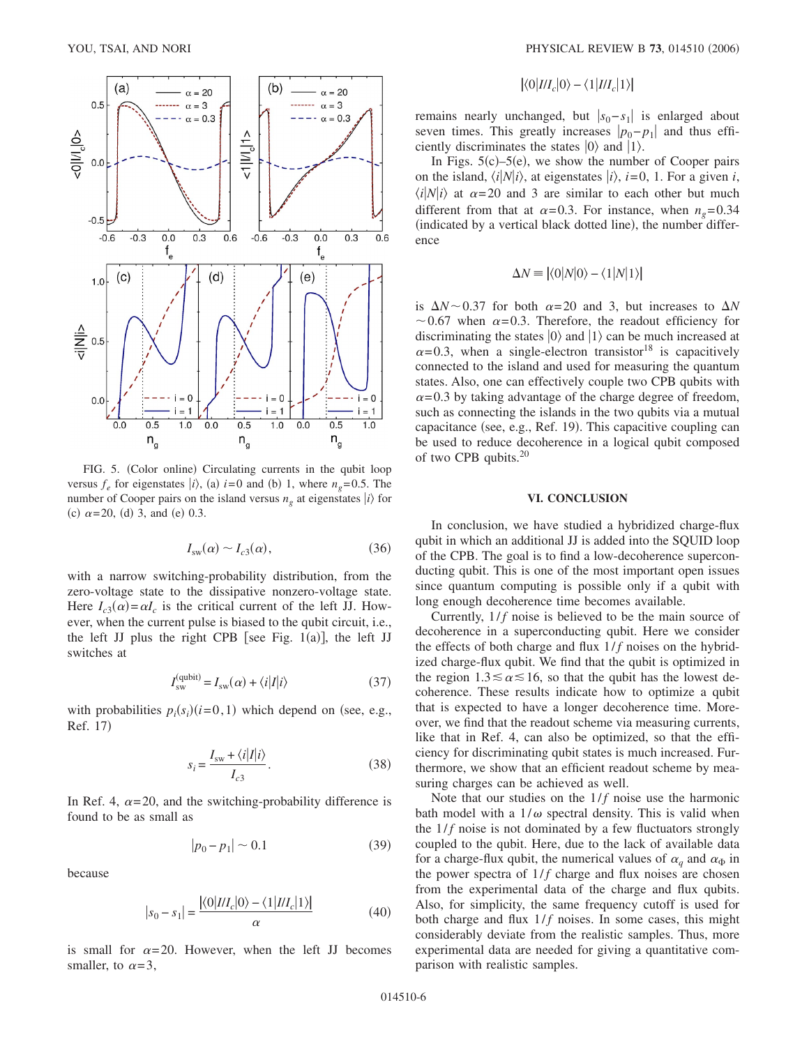

FIG. 5. (Color online) Circulating currents in the qubit loop versus  $f_e$  for eigenstates  $|i\rangle$ , (a)  $i=0$  and (b) 1, where  $n_g=0.5$ . The number of Cooper pairs on the island versus  $n_g$  at eigenstates  $|i\rangle$  for (c)  $\alpha = 20$ , (d) 3, and (e) 0.3.

$$
I_{\rm sw}(\alpha) \sim I_{c3}(\alpha),\tag{36}
$$

with a narrow switching-probability distribution, from the zero-voltage state to the dissipative nonzero-voltage state. Here  $I_{c3}(\alpha) = \alpha I_c$  is the critical current of the left JJ. However, when the current pulse is biased to the qubit circuit, i.e., the left JJ plus the right CPB [see Fig.  $1(a)$ ], the left JJ switches at

$$
I_{\rm sw}^{\rm (qubit)} = I_{\rm sw}(\alpha) + \langle i | I | i \rangle \tag{37}
$$

with probabilities  $p_i(s_i)$  ( $i=0,1$ ) which depend on (see, e.g., Ref. 17)

$$
s_i = \frac{I_{\rm sw} + \langle i | I | i \rangle}{I_{c3}}.
$$
\n(38)

In Ref. 4,  $\alpha = 20$ , and the switching-probability difference is found to be as small as

$$
|p_0 - p_1| \sim 0.1\tag{39}
$$

because

$$
|s_0 - s_1| = \frac{|\langle 0|II_c|0 \rangle - \langle 1|II_c|1 \rangle|}{\alpha} \tag{40}
$$

is small for  $\alpha = 20$ . However, when the left JJ becomes smaller, to  $\alpha = 3$ ,

$$
\langle 0|III_c|0\rangle - \langle 1|III_c|1\rangle
$$

remains nearly unchanged, but  $|s_0 - s_1|$  is enlarged about seven times. This greatly increases  $|p_0-p_1|$  and thus efficiently discriminates the states  $|0\rangle$  and  $|1\rangle$ .

In Figs.  $5(c)$ – $5(e)$ , we show the number of Cooper pairs on the island,  $\langle i|N|i\rangle$ , at eigenstates  $|i\rangle$ ,  $i=0$ , 1. For a given *i*,  $\langle i|N|i\rangle$  at  $\alpha = 20$  and 3 are similar to each other but much different from that at  $\alpha = 0.3$ . For instance, when  $n_e = 0.34$ (indicated by a vertical black dotted line), the number difference

$$
\Delta N \equiv |\langle 0|N|0 \rangle - \langle 1|N|1 \rangle|
$$

is  $\Delta N \sim 0.37$  for both  $\alpha = 20$  and 3, but increases to  $\Delta N$  $\sim$  0.67 when  $\alpha$ =0.3. Therefore, the readout efficiency for discriminating the states  $|0\rangle$  and  $|1\rangle$  can be much increased at  $\alpha$ =0.3, when a single-electron transistor<sup>18</sup> is capacitively connected to the island and used for measuring the quantum states. Also, one can effectively couple two CPB qubits with  $\alpha$ =0.3 by taking advantage of the charge degree of freedom, such as connecting the islands in the two qubits via a mutual capacitance (see, e.g., Ref. 19). This capacitive coupling can be used to reduce decoherence in a logical qubit composed of two CPB qubits.20

### **VI. CONCLUSION**

In conclusion, we have studied a hybridized charge-flux qubit in which an additional JJ is added into the SQUID loop of the CPB. The goal is to find a low-decoherence superconducting qubit. This is one of the most important open issues since quantum computing is possible only if a qubit with long enough decoherence time becomes available.

Currently,  $1/f$  noise is believed to be the main source of decoherence in a superconducting qubit. Here we consider the effects of both charge and flux  $1/f$  noises on the hybridized charge-flux qubit. We find that the qubit is optimized in the region  $1.3 \le \alpha \le 16$ , so that the qubit has the lowest decoherence. These results indicate how to optimize a qubit that is expected to have a longer decoherence time. Moreover, we find that the readout scheme via measuring currents, like that in Ref. 4, can also be optimized, so that the efficiency for discriminating qubit states is much increased. Furthermore, we show that an efficient readout scheme by measuring charges can be achieved as well.

Note that our studies on the  $1/f$  noise use the harmonic bath model with a  $1/\omega$  spectral density. This is valid when the  $1/f$  noise is not dominated by a few fluctuators strongly coupled to the qubit. Here, due to the lack of available data for a charge-flux qubit, the numerical values of  $\alpha_a$  and  $\alpha_{\Phi}$  in the power spectra of  $1/f$  charge and flux noises are chosen from the experimental data of the charge and flux qubits. Also, for simplicity, the same frequency cutoff is used for both charge and flux  $1/f$  noises. In some cases, this might considerably deviate from the realistic samples. Thus, more experimental data are needed for giving a quantitative comparison with realistic samples.